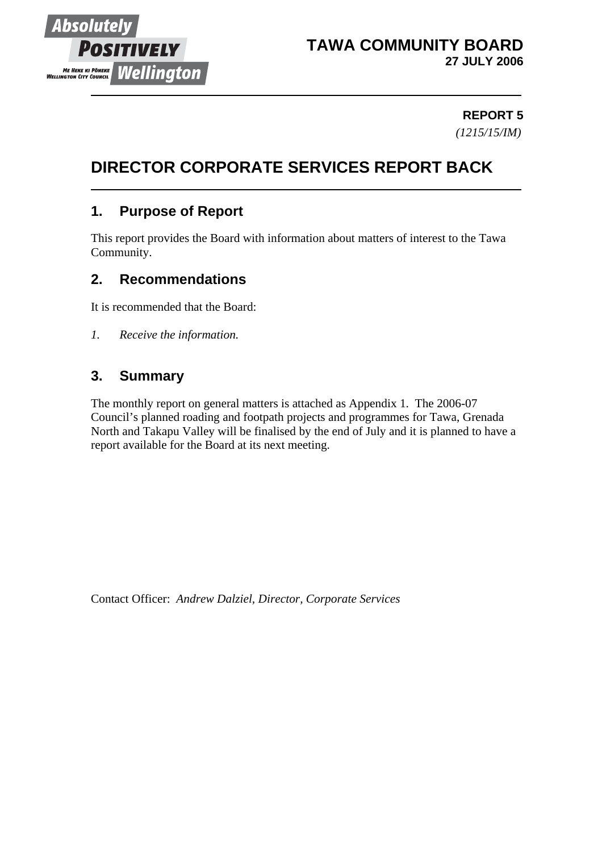

### **REPORT 5** *(1215/15/IM)*

# **DIRECTOR CORPORATE SERVICES REPORT BACK**

## **1. Purpose of Report**

This report provides the Board with information about matters of interest to the Tawa Community.

## **2. Recommendations**

It is recommended that the Board:

*1. Receive the information.*

## **3. Summary**

The monthly report on general matters is attached as Appendix 1. The 2006-07 Council's planned roading and footpath projects and programmes for Tawa, Grenada North and Takapu Valley will be finalised by the end of July and it is planned to have a report available for the Board at its next meeting.

Contact Officer: *Andrew Dalziel, Director, Corporate Services*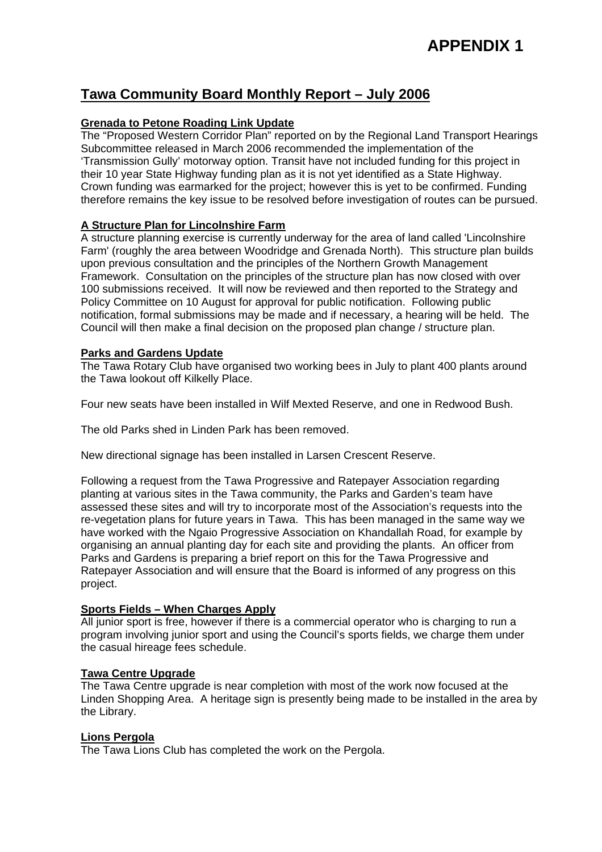# **APPENDIX 1**

### **Tawa Community Board Monthly Report – July 2006**

#### **Grenada to Petone Roading Link Update**

The "Proposed Western Corridor Plan" reported on by the Regional Land Transport Hearings Subcommittee released in March 2006 recommended the implementation of the 'Transmission Gully' motorway option. Transit have not included funding for this project in their 10 year State Highway funding plan as it is not yet identified as a State Highway. Crown funding was earmarked for the project; however this is yet to be confirmed. Funding therefore remains the key issue to be resolved before investigation of routes can be pursued.

### **A Structure Plan for Lincolnshire Farm**

A structure planning exercise is currently underway for the area of land called 'Lincolnshire Farm' (roughly the area between Woodridge and Grenada North). This structure plan builds upon previous consultation and the principles of the Northern Growth Management Framework. Consultation on the principles of the structure plan has now closed with over 100 submissions received. It will now be reviewed and then reported to the Strategy and Policy Committee on 10 August for approval for public notification. Following public notification, formal submissions may be made and if necessary, a hearing will be held. The Council will then make a final decision on the proposed plan change / structure plan.

#### **Parks and Gardens Update**

The Tawa Rotary Club have organised two working bees in July to plant 400 plants around the Tawa lookout off Kilkelly Place.

Four new seats have been installed in Wilf Mexted Reserve, and one in Redwood Bush.

The old Parks shed in Linden Park has been removed.

New directional signage has been installed in Larsen Crescent Reserve.

Following a request from the Tawa Progressive and Ratepayer Association regarding planting at various sites in the Tawa community, the Parks and Garden's team have assessed these sites and will try to incorporate most of the Association's requests into the re-vegetation plans for future years in Tawa. This has been managed in the same way we have worked with the Ngaio Progressive Association on Khandallah Road, for example by organising an annual planting day for each site and providing the plants. An officer from Parks and Gardens is preparing a brief report on this for the Tawa Progressive and Ratepayer Association and will ensure that the Board is informed of any progress on this project.

#### **Sports Fields – When Charges Apply**

All junior sport is free, however if there is a commercial operator who is charging to run a program involving junior sport and using the Council's sports fields, we charge them under the casual hireage fees schedule.

#### **Tawa Centre Upgrade**

The Tawa Centre upgrade is near completion with most of the work now focused at the Linden Shopping Area. A heritage sign is presently being made to be installed in the area by the Library.

#### **Lions Pergola**

The Tawa Lions Club has completed the work on the Pergola.